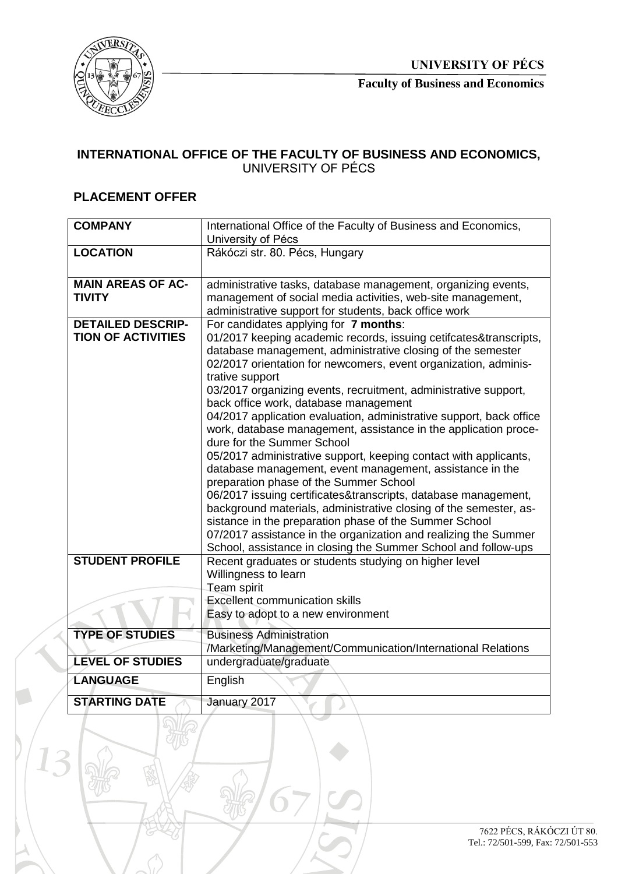

**Faculty of Business and Economics**

## **INTERNATIONAL OFFICE OF THE FACULTY OF BUSINESS AND ECONOMICS,**  UNIVERSITY OF PÉCS

## **PLACEMENT OFFER**

| <b>COMPANY</b>                                        | International Office of the Faculty of Business and Economics,                                                                                                                                                                                                                                                                                                                                                                                                                                                                                                                                                                                                                                                                                                                                                                                                                                                                                                                                                                                                      |
|-------------------------------------------------------|---------------------------------------------------------------------------------------------------------------------------------------------------------------------------------------------------------------------------------------------------------------------------------------------------------------------------------------------------------------------------------------------------------------------------------------------------------------------------------------------------------------------------------------------------------------------------------------------------------------------------------------------------------------------------------------------------------------------------------------------------------------------------------------------------------------------------------------------------------------------------------------------------------------------------------------------------------------------------------------------------------------------------------------------------------------------|
| <b>LOCATION</b>                                       | University of Pécs<br>Rákóczi str. 80. Pécs, Hungary                                                                                                                                                                                                                                                                                                                                                                                                                                                                                                                                                                                                                                                                                                                                                                                                                                                                                                                                                                                                                |
|                                                       |                                                                                                                                                                                                                                                                                                                                                                                                                                                                                                                                                                                                                                                                                                                                                                                                                                                                                                                                                                                                                                                                     |
| <b>MAIN AREAS OF AC-</b><br><b>TIVITY</b>             | administrative tasks, database management, organizing events,<br>management of social media activities, web-site management,<br>administrative support for students, back office work                                                                                                                                                                                                                                                                                                                                                                                                                                                                                                                                                                                                                                                                                                                                                                                                                                                                               |
| <b>DETAILED DESCRIP-</b><br><b>TION OF ACTIVITIES</b> | For candidates applying for 7 months:<br>01/2017 keeping academic records, issuing cetifcates&transcripts,<br>database management, administrative closing of the semester<br>02/2017 orientation for newcomers, event organization, adminis-<br>trative support<br>03/2017 organizing events, recruitment, administrative support,<br>back office work, database management<br>04/2017 application evaluation, administrative support, back office<br>work, database management, assistance in the application proce-<br>dure for the Summer School<br>05/2017 administrative support, keeping contact with applicants,<br>database management, event management, assistance in the<br>preparation phase of the Summer School<br>06/2017 issuing certificates&transcripts, database management,<br>background materials, administrative closing of the semester, as-<br>sistance in the preparation phase of the Summer School<br>07/2017 assistance in the organization and realizing the Summer<br>School, assistance in closing the Summer School and follow-ups |
| <b>STUDENT PROFILE</b>                                | Recent graduates or students studying on higher level<br>Willingness to learn<br>Team spirit<br><b>Excellent communication skills</b><br>Easy to adopt to a new environment                                                                                                                                                                                                                                                                                                                                                                                                                                                                                                                                                                                                                                                                                                                                                                                                                                                                                         |
| <b>TYPE OF STUDIES</b>                                | <b>Business Administration</b><br>/Marketing/Management/Communication/International Relations                                                                                                                                                                                                                                                                                                                                                                                                                                                                                                                                                                                                                                                                                                                                                                                                                                                                                                                                                                       |
| <b>LEVEL OF STUDIES</b>                               | undergraduate/graduate                                                                                                                                                                                                                                                                                                                                                                                                                                                                                                                                                                                                                                                                                                                                                                                                                                                                                                                                                                                                                                              |
| <b>LANGUAGE</b>                                       | English                                                                                                                                                                                                                                                                                                                                                                                                                                                                                                                                                                                                                                                                                                                                                                                                                                                                                                                                                                                                                                                             |
| <b>STARTING DATE</b>                                  | January 2017                                                                                                                                                                                                                                                                                                                                                                                                                                                                                                                                                                                                                                                                                                                                                                                                                                                                                                                                                                                                                                                        |